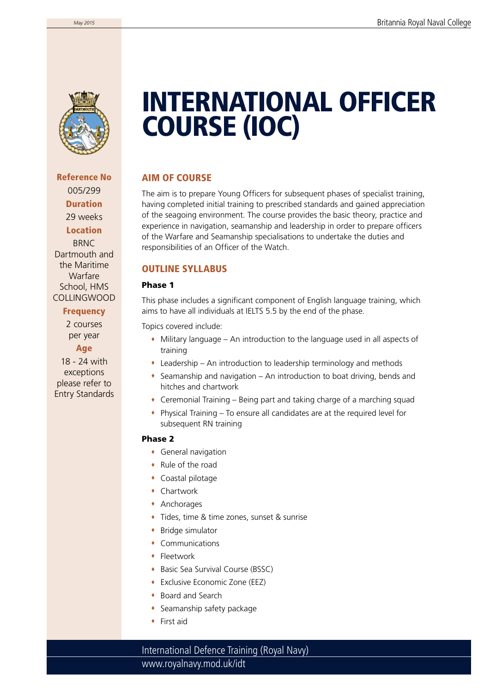

Reference No 005/299 Duration 29 weeks Location **BRNC** Dartmouth and the Maritime Warfare School, HMS COLLINGWOOD

#### **Frequency**

2 courses per year Age

18 - 24 with exceptions please refer to Entry Standards

# INTERNATIONAL OFFICER COURSE (IOC)

# AIM OF COURSE

The aim is to prepare Young Officers for subsequent phases of specialist training, having completed initial training to prescribed standards and gained appreciation of the seagoing environment. The course provides the basic theory, practice and experience in navigation, seamanship and leadership in order to prepare officers of the Warfare and Seamanship specialisations to undertake the duties and responsibilities of an Officer of the Watch.

### OUTLINE SYLLABUS

### Phase 1

This phase includes a significant component of English language training, which aims to have all individuals at IELTS 5.5 by the end of the phase.

Topics covered include:

- Military language An introduction to the language used in all aspects of training
- Leadership An introduction to leadership terminology and methods
- $\bullet$  Seamanship and navigation An introduction to boat driving, bends and hitches and chartwork
- Ceremonial Training Being part and taking charge of a marching squad
- Physical Training To ensure all candidates are at the required level for subsequent RN training

#### Phase 2

- General navigation
- Rule of the road
- Coastal pilotage
- Chartwork
- Anchorages
- Tides, time & time zones, sunset & sunrise
- Bridge simulator
- Communications
- **+** Fleetwork
- ◆ Basic Sea Survival Course (BSSC)
- Exclusive Economic Zone (EEZ)
- Board and Search
- Seamanship safety package
- ◆ First aid

www.royalnavy.mod.uk/idt International Defence Training (Royal Navy)